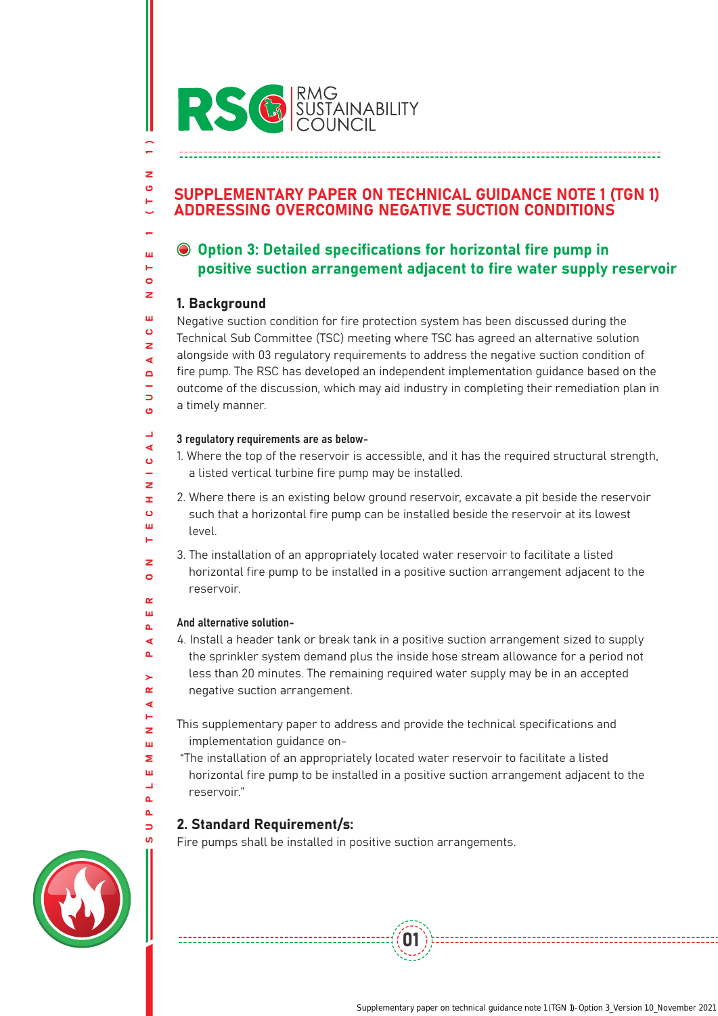

## SUPPLEMENTARY PAPER ON TECHNICAL GUIDANCE NOTE 1 (TGN 1) ADDRESSING OVERCOMING NEGATIVE SUCTION CONDITIONS

# Option 3: Detailed specifications for horizontal fire pump in positive suction arrangement adjacent to fire water supply reservoir

## 1. Background

SUPPLEMENTARY PAPER ON TECHNICAL GUIDANCE NOTE 1 (TGN 1)

Ő L.  $\overline{z}$ œ  $\epsilon$  $\mathbf{m}$ н z  $\bullet$  $\sim$ Ш  $\Delta$ ∢ å. ÿ,  $\alpha$ ∢ н  $\overline{z}$ ш Σ ш L. á.  $\Delta$ Ь

÷,

 $\geq$ O н U L. ш н  $\bullet$ z ш  $\ddot{\mathbf{c}}$ z ⋖  $\Box$  $\Rightarrow$ ö  $\overline{\phantom{0}}$ 

Negative suction condition for fire protection system has been discussed during the Technical Sub Committee (TSC) meeting where TSC has agreed an alternative solution alongside with 03 regulatory requirements to address the negative suction condition of fire pump. The RSC has developed an independent implementation guidance based on the outcome of the discussion, which may aid industry in completing their remediation plan in a timely manner.

#### 3 regulatory requirements are as below- $\blacktriangleleft$

1. Where the top of the reservoir is accessible, and it has the required structural strength, a listed vertical turbine fire pump may be installed.

2. Where there is an existing below ground reservoir, excavate a pit beside the reservoir such that a horizontal fire pump can be installed beside the reservoir at its lowest level.

3. The installation of an appropriately located water reservoir to facilitate a listed horizontal fire pump to be installed in a positive suction arrangement adjacent to the reservoir.

### And alternative solution-

4. Install a header tank or break tank in a positive suction arrangement sized to supply the sprinkler system demand plus the inside hose stream allowance for a period not less than 20 minutes. The remaining required water supply may be in an accepted negative suction arrangement.

This supplementary paper to address and provide the technical specifications and implementation guidance on-

 "The installation of an appropriately located water reservoir to facilitate a listed horizontal fire pump to be installed in a positive suction arrangement adjacent to the reservoir."

01

## 2. Standard Requirement/s:

Fire pumps shall be installed in positive suction arrangements.

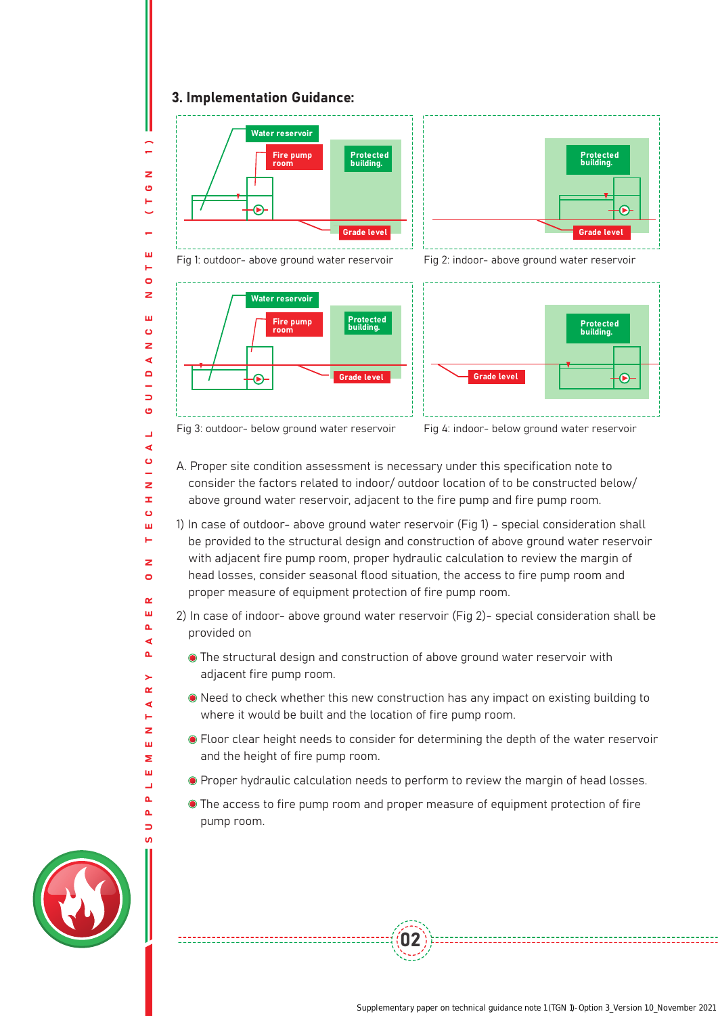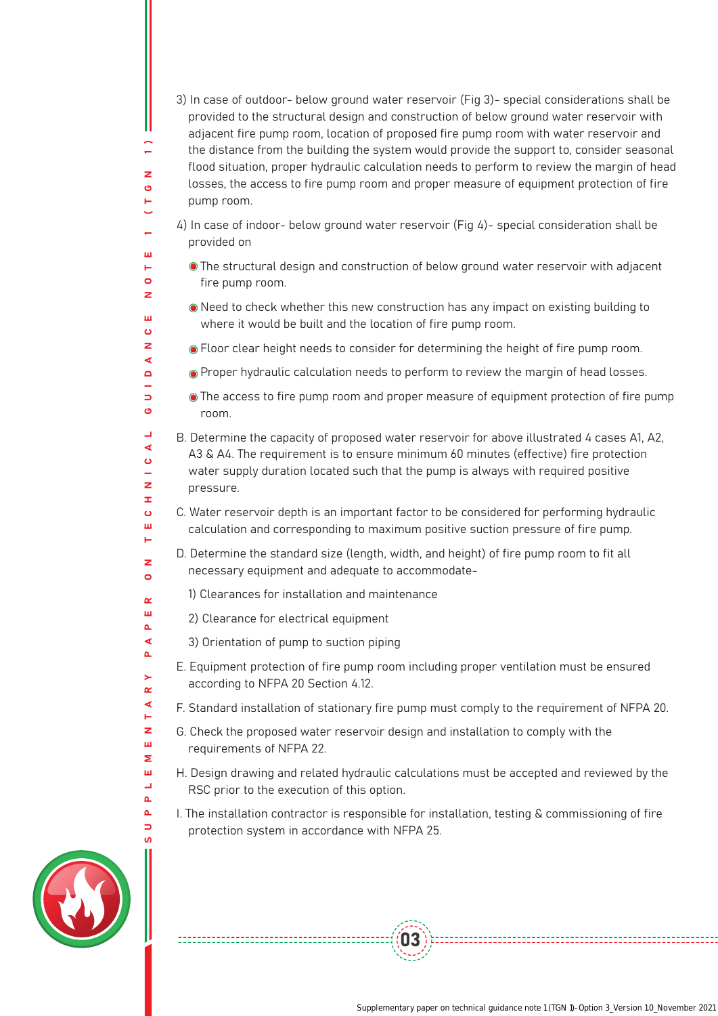3) In case of outdoor- below ground water reservoir (Fig 3)- special considerations shall be provided to the structural design and construction of below ground water reservoir with adjacent fire pump room, location of proposed fire pump room with water reservoir and the distance from the building the system would provide the support to, consider seasonal flood situation, proper hydraulic calculation needs to perform to review the margin of head losses, the access to fire pump room and proper measure of equipment protection of fire pump room.

- 4) In case of indoor- below ground water reservoir (Fig 4)- special consideration shall be provided on
	- The structural design and construction of below ground water reservoir with adjacent fire pump room.
	- Need to check whether this new construction has any impact on existing building to where it would be built and the location of fire pump room.
	- Floor clear height needs to consider for determining the height of fire pump room.
- **•** Proper hydraulic calculation needs to perform to review the margin of head losses.
- The access to fire pump room and proper measure of equipment protection of fire pump room.
- B. Determine the capacity of proposed water reservoir for above illustrated 4 cases A1, A2, A3 & A4. The requirement is to ensure minimum 60 minutes (effective) fire protection water supply duration located such that the pump is always with required positive pressure.
- C. Water reservoir depth is an important factor to be considered for performing hydraulic calculation and corresponding to maximum positive suction pressure of fire pump.
- D. Determine the standard size (length, width, and height) of fire pump room to fit all necessary equipment and adequate to accommodate-
	- 1) Clearances for installation and maintenance
- 2) Clearance for electrical equipment
- 3) Orientation of pump to suction piping
- E. Equipment protection of fire pump room including proper ventilation must be ensured according to NFPA 20 Section 4.12.
- F. Standard installation of stationary fire pump must comply to the requirement of NFPA 20.
- G. Check the proposed water reservoir design and installation to comply with the requirements of NFPA 22.
- H. Design drawing and related hydraulic calculations must be accepted and reviewed by the RSC prior to the execution of this option.
- I. The installation contractor is responsible for installation, testing & commissioning of fire protection system in accordance with NFPA 25.

03



÷,  $\geq$  $\mathbf{\hat{O}}$ н

ш н  $\bullet$ z ш  $\ddot{\mathbf{c}}$  $\overline{\mathbf{z}}$  $\blacktriangleleft$  $\Box$  $\Rightarrow$  $\bullet$  $\Box$  $\blacktriangleleft$  $\ddot{\mathbf{c}}$  $\sim$  $\overline{z}$ Œ,  $\epsilon$ ш н  $\overline{\mathbf{z}}$  $\circ$  $\sim$ ш  $\Delta$  $\blacktriangleleft$  $\Delta$  $\geq$  $\alpha$  $\blacktriangleleft$ н z ш Σ ш  $\overline{\phantom{a}}$  $\Delta$  $\Delta$  $\Rightarrow$